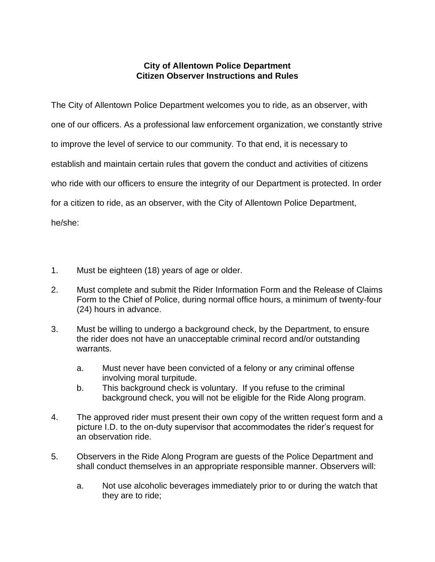## **City of Allentown Police Department Citizen Observer Instructions and Rules**

The City of Allentown Police Department welcomes you to ride, as an observer, with one of our officers. As a professional law enforcement organization, we constantly strive to improve the level of service to our community. To that end, it is necessary to establish and maintain certain rules that govern the conduct and activities of citizens who ride with our officers to ensure the integrity of our Department is protected. In order for a citizen to ride, as an observer, with the City of Allentown Police Department, he/she:

- 1. Must be eighteen (18) years of age or older.
- 2. Must complete and submit the Rider Information Form and the Release of Claims Form to the Chief of Police, during normal office hours, a minimum of twenty-four (24) hours in advance.
- 3. Must be willing to undergo a background check, by the Department, to ensure the rider does not have an unacceptable criminal record and/or outstanding warrants.
	- a. Must never have been convicted of a felony or any criminal offense involving moral turpitude.
	- b. This background check is voluntary. If you refuse to the criminal background check, you will not be eligible for the Ride Along program.
- 4. The approved rider must present their own copy of the written request form and a picture I.D. to the on-duty supervisor that accommodates the rider's request for an observation ride.
- 5. Observers in the Ride Along Program are guests of the Police Department and shall conduct themselves in an appropriate responsible manner. Observers will:
	- a. Not use alcoholic beverages immediately prior to or during the watch that they are to ride;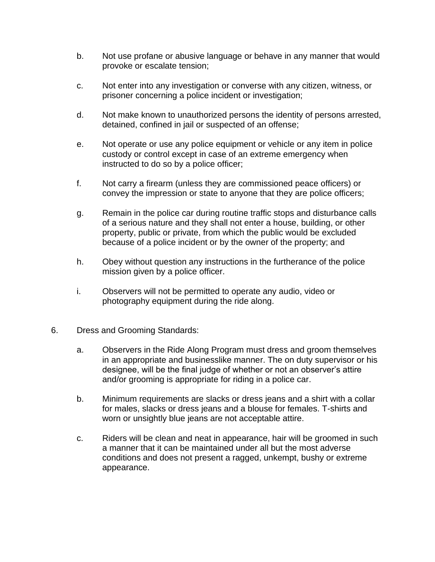- b. Not use profane or abusive language or behave in any manner that would provoke or escalate tension;
- c. Not enter into any investigation or converse with any citizen, witness, or prisoner concerning a police incident or investigation;
- d. Not make known to unauthorized persons the identity of persons arrested, detained, confined in jail or suspected of an offense;
- e. Not operate or use any police equipment or vehicle or any item in police custody or control except in case of an extreme emergency when instructed to do so by a police officer;
- f. Not carry a firearm (unless they are commissioned peace officers) or convey the impression or state to anyone that they are police officers;
- g. Remain in the police car during routine traffic stops and disturbance calls of a serious nature and they shall not enter a house, building, or other property, public or private, from which the public would be excluded because of a police incident or by the owner of the property; and
- h. Obey without question any instructions in the furtherance of the police mission given by a police officer.
- i. Observers will not be permitted to operate any audio, video or photography equipment during the ride along.
- 6. Dress and Grooming Standards:
	- a. Observers in the Ride Along Program must dress and groom themselves in an appropriate and businesslike manner. The on duty supervisor or his designee, will be the final judge of whether or not an observer's attire and/or grooming is appropriate for riding in a police car.
	- b. Minimum requirements are slacks or dress jeans and a shirt with a collar for males, slacks or dress jeans and a blouse for females. T-shirts and worn or unsightly blue jeans are not acceptable attire.
	- c. Riders will be clean and neat in appearance, hair will be groomed in such a manner that it can be maintained under all but the most adverse conditions and does not present a ragged, unkempt, bushy or extreme appearance.